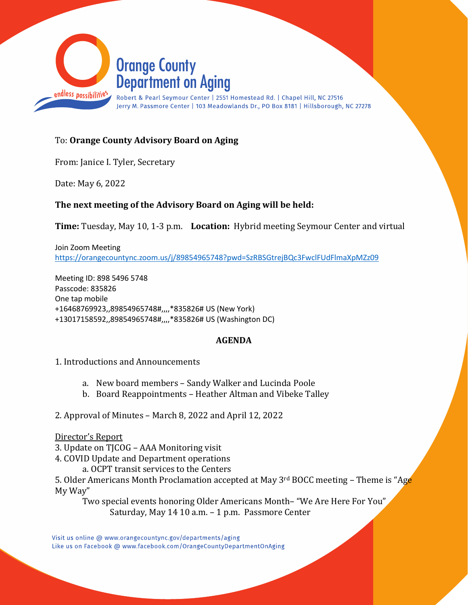

## To: **Orange County Advisory Board on Aging**

From: Janice I. Tyler, Secretary

Date: May 6, 2022

## **The next meeting of the Advisory Board on Aging will be held:**

**Time:** Tuesday, May 10, 1-3 p.m. **Location:** Hybrid meeting Seymour Center and virtual

Join Zoom Meeting <https://orangecountync.zoom.us/j/89854965748?pwd=SzRBSGtrejBQc3FwclFUdFlmaXpMZz09>

Meeting ID: 898 5496 5748 Passcode: 835826 One tap mobile +16468769923,,89854965748#,,,,\*835826# US (New York) +13017158592,,89854965748#,,,,\*835826# US (Washington DC)

## **AGENDA**

- 1. Introductions and Announcements
	- a. New board members Sandy Walker and Lucinda Poole
	- b. Board Reappointments Heather Altman and Vibeke Talley
- 2. Approval of Minutes March 8, 2022 and April 12, 2022

#### Director's Report

- 3. Update on TJCOG AAA Monitoring visit
- 4. COVID Update and Department operations
	- a. OCPT transit services to the Centers

5. Older Americans Month Proclamation accepted at May 3<sup>rd</sup> BOCC meeting – Theme is "Age My Way"

Two special events honoring Older Americans Month– "We Are Here For You" Saturday, May 14 10 a.m. – 1 p.m. Passmore Center

Visit us online @ www.orangecountync.gov/departments/aging Like us on Facebook @ www.facebook.com/OrangeCountyDepartmentOnAging